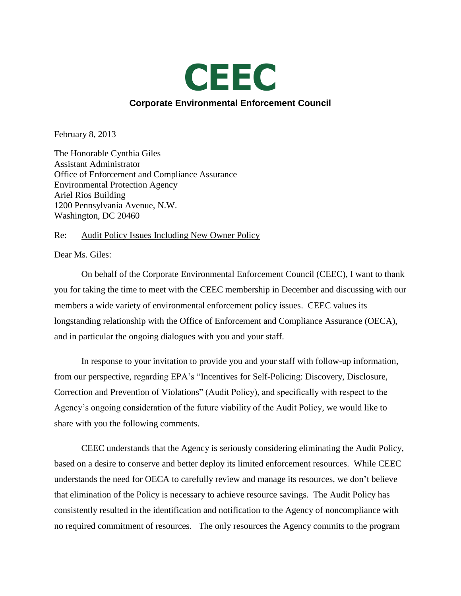

February 8, 2013

The Honorable Cynthia Giles Assistant Administrator Office of Enforcement and Compliance Assurance Environmental Protection Agency Ariel Rios Building 1200 Pennsylvania Avenue, N.W. Washington, DC 20460

# Re: Audit Policy Issues Including New Owner Policy

Dear Ms. Giles:

On behalf of the Corporate Environmental Enforcement Council (CEEC), I want to thank you for taking the time to meet with the CEEC membership in December and discussing with our members a wide variety of environmental enforcement policy issues. CEEC values its longstanding relationship with the Office of Enforcement and Compliance Assurance (OECA), and in particular the ongoing dialogues with you and your staff.

In response to your invitation to provide you and your staff with follow-up information, from our perspective, regarding EPA's "Incentives for Self-Policing: Discovery, Disclosure, Correction and Prevention of Violations" (Audit Policy), and specifically with respect to the Agency's ongoing consideration of the future viability of the Audit Policy, we would like to share with you the following comments.

CEEC understands that the Agency is seriously considering eliminating the Audit Policy, based on a desire to conserve and better deploy its limited enforcement resources. While CEEC understands the need for OECA to carefully review and manage its resources, we don't believe that elimination of the Policy is necessary to achieve resource savings. The Audit Policy has consistently resulted in the identification and notification to the Agency of noncompliance with no required commitment of resources. The only resources the Agency commits to the program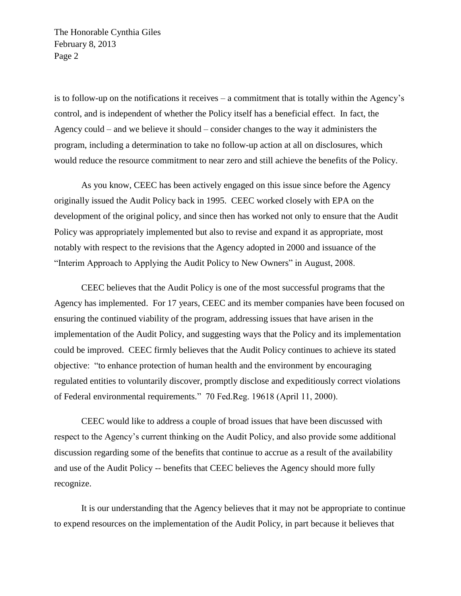is to follow-up on the notifications it receives – a commitment that is totally within the Agency's control, and is independent of whether the Policy itself has a beneficial effect. In fact, the Agency could – and we believe it should – consider changes to the way it administers the program, including a determination to take no follow-up action at all on disclosures, which would reduce the resource commitment to near zero and still achieve the benefits of the Policy.

As you know, CEEC has been actively engaged on this issue since before the Agency originally issued the Audit Policy back in 1995. CEEC worked closely with EPA on the development of the original policy, and since then has worked not only to ensure that the Audit Policy was appropriately implemented but also to revise and expand it as appropriate, most notably with respect to the revisions that the Agency adopted in 2000 and issuance of the "Interim Approach to Applying the Audit Policy to New Owners" in August, 2008.

CEEC believes that the Audit Policy is one of the most successful programs that the Agency has implemented. For 17 years, CEEC and its member companies have been focused on ensuring the continued viability of the program, addressing issues that have arisen in the implementation of the Audit Policy, and suggesting ways that the Policy and its implementation could be improved. CEEC firmly believes that the Audit Policy continues to achieve its stated objective: ―to enhance protection of human health and the environment by encouraging regulated entities to voluntarily discover, promptly disclose and expeditiously correct violations of Federal environmental requirements." 70 Fed.Reg. 19618 (April 11, 2000).

CEEC would like to address a couple of broad issues that have been discussed with respect to the Agency's current thinking on the Audit Policy, and also provide some additional discussion regarding some of the benefits that continue to accrue as a result of the availability and use of the Audit Policy -- benefits that CEEC believes the Agency should more fully recognize.

It is our understanding that the Agency believes that it may not be appropriate to continue to expend resources on the implementation of the Audit Policy, in part because it believes that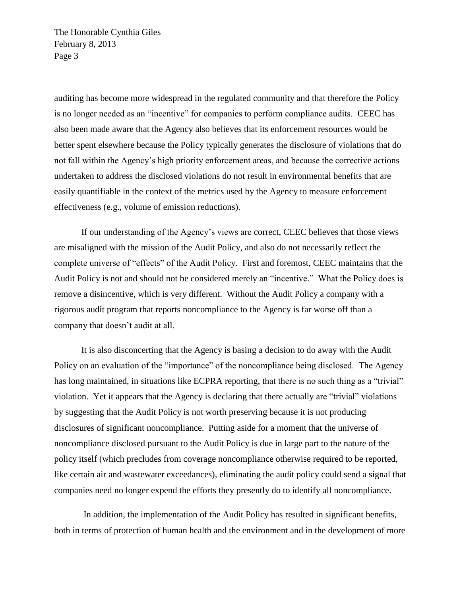auditing has become more widespread in the regulated community and that therefore the Policy is no longer needed as an "incentive" for companies to perform compliance audits. CEEC has also been made aware that the Agency also believes that its enforcement resources would be better spent elsewhere because the Policy typically generates the disclosure of violations that do not fall within the Agency's high priority enforcement areas, and because the corrective actions undertaken to address the disclosed violations do not result in environmental benefits that are easily quantifiable in the context of the metrics used by the Agency to measure enforcement effectiveness (e.g., volume of emission reductions).

If our understanding of the Agency's views are correct, CEEC believes that those views are misaligned with the mission of the Audit Policy, and also do not necessarily reflect the complete universe of "effects" of the Audit Policy. First and foremost, CEEC maintains that the Audit Policy is not and should not be considered merely an "incentive." What the Policy does is remove a disincentive, which is very different. Without the Audit Policy a company with a rigorous audit program that reports noncompliance to the Agency is far worse off than a company that doesn't audit at all.

It is also disconcerting that the Agency is basing a decision to do away with the Audit Policy on an evaluation of the "importance" of the noncompliance being disclosed. The Agency has long maintained, in situations like ECPRA reporting, that there is no such thing as a "trivial" violation. Yet it appears that the Agency is declaring that there actually are "trivial" violations by suggesting that the Audit Policy is not worth preserving because it is not producing disclosures of significant noncompliance. Putting aside for a moment that the universe of noncompliance disclosed pursuant to the Audit Policy is due in large part to the nature of the policy itself (which precludes from coverage noncompliance otherwise required to be reported, like certain air and wastewater exceedances), eliminating the audit policy could send a signal that companies need no longer expend the efforts they presently do to identify all noncompliance.

In addition, the implementation of the Audit Policy has resulted in significant benefits, both in terms of protection of human health and the environment and in the development of more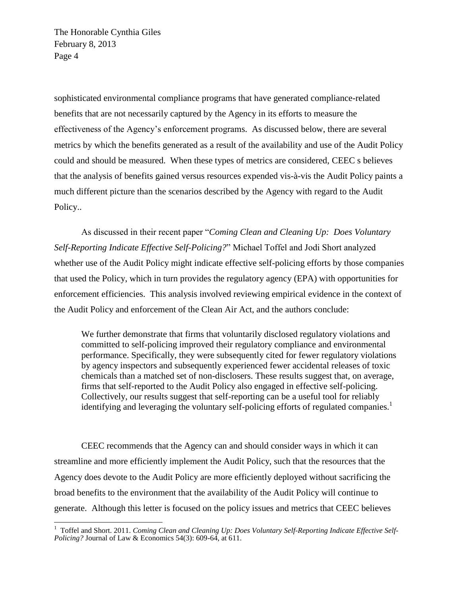sophisticated environmental compliance programs that have generated compliance-related benefits that are not necessarily captured by the Agency in its efforts to measure the effectiveness of the Agency's enforcement programs. As discussed below, there are several metrics by which the benefits generated as a result of the availability and use of the Audit Policy could and should be measured. When these types of metrics are considered, CEEC s believes that the analysis of benefits gained versus resources expended vis-à-vis the Audit Policy paints a much different picture than the scenarios described by the Agency with regard to the Audit Policy..

As discussed in their recent paper "Coming Clean and Cleaning Up: Does Voluntary *Self-Reporting Indicate Effective Self-Policing?*‖ Michael Toffel and Jodi Short analyzed whether use of the Audit Policy might indicate effective self-policing efforts by those companies that used the Policy, which in turn provides the regulatory agency (EPA) with opportunities for enforcement efficiencies. This analysis involved reviewing empirical evidence in the context of the Audit Policy and enforcement of the Clean Air Act, and the authors conclude:

We further demonstrate that firms that voluntarily disclosed regulatory violations and committed to self-policing improved their regulatory compliance and environmental performance. Specifically, they were subsequently cited for fewer regulatory violations by agency inspectors and subsequently experienced fewer accidental releases of toxic chemicals than a matched set of non-disclosers. These results suggest that, on average, firms that self-reported to the Audit Policy also engaged in effective self-policing. Collectively, our results suggest that self-reporting can be a useful tool for reliably identifying and leveraging the voluntary self-policing efforts of regulated companies.<sup>1</sup>

CEEC recommends that the Agency can and should consider ways in which it can streamline and more efficiently implement the Audit Policy, such that the resources that the Agency does devote to the Audit Policy are more efficiently deployed without sacrificing the broad benefits to the environment that the availability of the Audit Policy will continue to generate. Although this letter is focused on the policy issues and metrics that CEEC believes

 1 Toffel and Short. 2011. *Coming Clean and Cleaning Up: Does Voluntary Self-Reporting Indicate Effective Self-Policing?* Journal of Law & Economics 54(3): 609-64, at 611.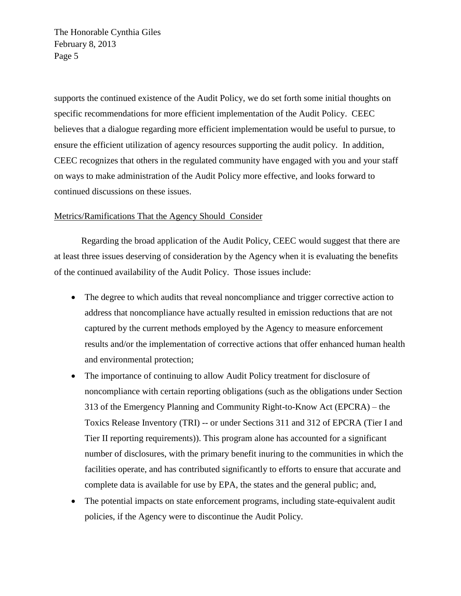supports the continued existence of the Audit Policy, we do set forth some initial thoughts on specific recommendations for more efficient implementation of the Audit Policy. CEEC believes that a dialogue regarding more efficient implementation would be useful to pursue, to ensure the efficient utilization of agency resources supporting the audit policy. In addition, CEEC recognizes that others in the regulated community have engaged with you and your staff on ways to make administration of the Audit Policy more effective, and looks forward to continued discussions on these issues.

# Metrics/Ramifications That the Agency Should Consider

Regarding the broad application of the Audit Policy, CEEC would suggest that there are at least three issues deserving of consideration by the Agency when it is evaluating the benefits of the continued availability of the Audit Policy. Those issues include:

- The degree to which audits that reveal noncompliance and trigger corrective action to address that noncompliance have actually resulted in emission reductions that are not captured by the current methods employed by the Agency to measure enforcement results and/or the implementation of corrective actions that offer enhanced human health and environmental protection;
- The importance of continuing to allow Audit Policy treatment for disclosure of noncompliance with certain reporting obligations (such as the obligations under Section 313 of the Emergency Planning and Community Right-to-Know Act (EPCRA) – the Toxics Release Inventory (TRI) -- or under Sections 311 and 312 of EPCRA (Tier I and Tier II reporting requirements)). This program alone has accounted for a significant number of disclosures, with the primary benefit inuring to the communities in which the facilities operate, and has contributed significantly to efforts to ensure that accurate and complete data is available for use by EPA, the states and the general public; and,
- The potential impacts on state enforcement programs, including state-equivalent audit policies, if the Agency were to discontinue the Audit Policy.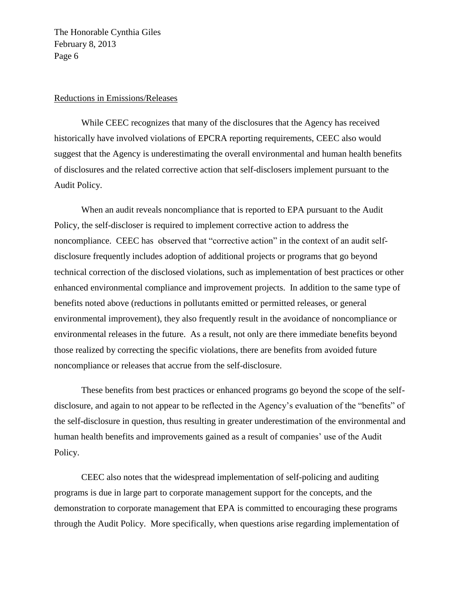#### Reductions in Emissions/Releases

While CEEC recognizes that many of the disclosures that the Agency has received historically have involved violations of EPCRA reporting requirements, CEEC also would suggest that the Agency is underestimating the overall environmental and human health benefits of disclosures and the related corrective action that self-disclosers implement pursuant to the Audit Policy.

When an audit reveals noncompliance that is reported to EPA pursuant to the Audit Policy, the self-discloser is required to implement corrective action to address the noncompliance. CEEC has observed that "corrective action" in the context of an audit selfdisclosure frequently includes adoption of additional projects or programs that go beyond technical correction of the disclosed violations, such as implementation of best practices or other enhanced environmental compliance and improvement projects. In addition to the same type of benefits noted above (reductions in pollutants emitted or permitted releases, or general environmental improvement), they also frequently result in the avoidance of noncompliance or environmental releases in the future. As a result, not only are there immediate benefits beyond those realized by correcting the specific violations, there are benefits from avoided future noncompliance or releases that accrue from the self-disclosure.

These benefits from best practices or enhanced programs go beyond the scope of the selfdisclosure, and again to not appear to be reflected in the Agency's evaluation of the "benefits" of the self-disclosure in question, thus resulting in greater underestimation of the environmental and human health benefits and improvements gained as a result of companies' use of the Audit Policy.

CEEC also notes that the widespread implementation of self-policing and auditing programs is due in large part to corporate management support for the concepts, and the demonstration to corporate management that EPA is committed to encouraging these programs through the Audit Policy. More specifically, when questions arise regarding implementation of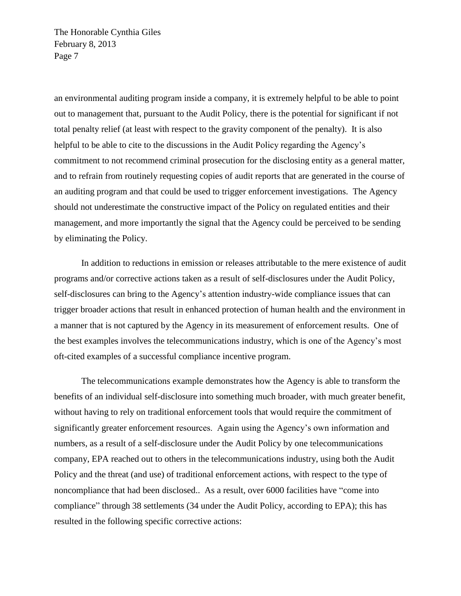an environmental auditing program inside a company, it is extremely helpful to be able to point out to management that, pursuant to the Audit Policy, there is the potential for significant if not total penalty relief (at least with respect to the gravity component of the penalty). It is also helpful to be able to cite to the discussions in the Audit Policy regarding the Agency's commitment to not recommend criminal prosecution for the disclosing entity as a general matter, and to refrain from routinely requesting copies of audit reports that are generated in the course of an auditing program and that could be used to trigger enforcement investigations. The Agency should not underestimate the constructive impact of the Policy on regulated entities and their management, and more importantly the signal that the Agency could be perceived to be sending by eliminating the Policy.

In addition to reductions in emission or releases attributable to the mere existence of audit programs and/or corrective actions taken as a result of self-disclosures under the Audit Policy, self-disclosures can bring to the Agency's attention industry-wide compliance issues that can trigger broader actions that result in enhanced protection of human health and the environment in a manner that is not captured by the Agency in its measurement of enforcement results. One of the best examples involves the telecommunications industry, which is one of the Agency's most oft-cited examples of a successful compliance incentive program.

The telecommunications example demonstrates how the Agency is able to transform the benefits of an individual self-disclosure into something much broader, with much greater benefit, without having to rely on traditional enforcement tools that would require the commitment of significantly greater enforcement resources. Again using the Agency's own information and numbers, as a result of a self-disclosure under the Audit Policy by one telecommunications company, EPA reached out to others in the telecommunications industry, using both the Audit Policy and the threat (and use) of traditional enforcement actions, with respect to the type of noncompliance that had been disclosed.. As a result, over 6000 facilities have "come into compliance" through 38 settlements (34 under the Audit Policy, according to EPA); this has resulted in the following specific corrective actions: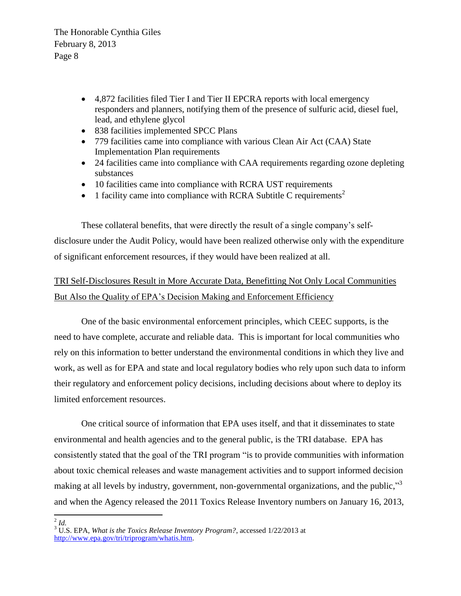- 4,872 facilities filed Tier I and Tier II EPCRA reports with local emergency responders and planners, notifying them of the presence of sulfuric acid, diesel fuel, lead, and ethylene glycol
- 838 facilities implemented SPCC Plans
- 779 facilities came into compliance with various Clean Air Act (CAA) State Implementation Plan requirements
- 24 facilities came into compliance with CAA requirements regarding ozone depleting substances
- 10 facilities came into compliance with RCRA UST requirements
- 1 facility came into compliance with RCRA Subtitle C requirements<sup>2</sup>

These collateral benefits, that were directly the result of a single company's selfdisclosure under the Audit Policy, would have been realized otherwise only with the expenditure of significant enforcement resources, if they would have been realized at all.

# TRI Self-Disclosures Result in More Accurate Data, Benefitting Not Only Local Communities But Also the Quality of EPA's Decision Making and Enforcement Efficiency

One of the basic environmental enforcement principles, which CEEC supports, is the need to have complete, accurate and reliable data. This is important for local communities who rely on this information to better understand the environmental conditions in which they live and work, as well as for EPA and state and local regulatory bodies who rely upon such data to inform their regulatory and enforcement policy decisions, including decisions about where to deploy its limited enforcement resources.

One critical source of information that EPA uses itself, and that it disseminates to state environmental and health agencies and to the general public, is the TRI database. EPA has consistently stated that the goal of the TRI program "is to provide communities with information about toxic chemical releases and waste management activities and to support informed decision making at all levels by industry, government, non-governmental organizations, and the public,"<sup>3</sup> and when the Agency released the 2011 Toxics Release Inventory numbers on January 16, 2013,

 $\frac{2}{3}$ *Id.* 

<sup>&</sup>lt;sup>3</sup> U.S. EPA, *What is the Toxics Release Inventory Program?*, accessed 1/22/2013 at [http://www.epa.gov/tri/triprogram/whatis.htm.](http://www.epa.gov/tri/triprogram/whatis.htm)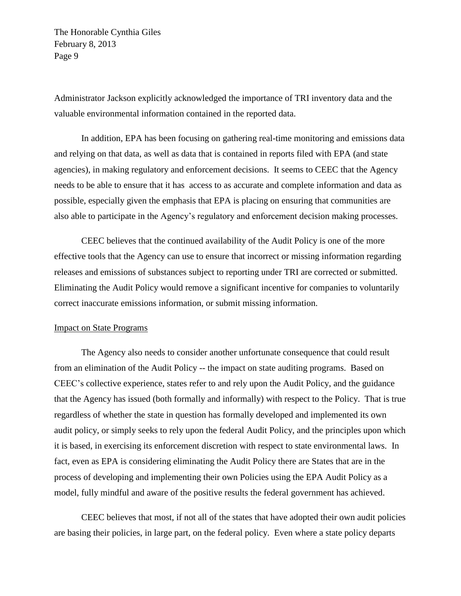Administrator Jackson explicitly acknowledged the importance of TRI inventory data and the valuable environmental information contained in the reported data.

In addition, EPA has been focusing on gathering real-time monitoring and emissions data and relying on that data, as well as data that is contained in reports filed with EPA (and state agencies), in making regulatory and enforcement decisions. It seems to CEEC that the Agency needs to be able to ensure that it has access to as accurate and complete information and data as possible, especially given the emphasis that EPA is placing on ensuring that communities are also able to participate in the Agency's regulatory and enforcement decision making processes.

CEEC believes that the continued availability of the Audit Policy is one of the more effective tools that the Agency can use to ensure that incorrect or missing information regarding releases and emissions of substances subject to reporting under TRI are corrected or submitted. Eliminating the Audit Policy would remove a significant incentive for companies to voluntarily correct inaccurate emissions information, or submit missing information.

#### Impact on State Programs

The Agency also needs to consider another unfortunate consequence that could result from an elimination of the Audit Policy -- the impact on state auditing programs. Based on CEEC's collective experience, states refer to and rely upon the Audit Policy, and the guidance that the Agency has issued (both formally and informally) with respect to the Policy. That is true regardless of whether the state in question has formally developed and implemented its own audit policy, or simply seeks to rely upon the federal Audit Policy, and the principles upon which it is based, in exercising its enforcement discretion with respect to state environmental laws. In fact, even as EPA is considering eliminating the Audit Policy there are States that are in the process of developing and implementing their own Policies using the EPA Audit Policy as a model, fully mindful and aware of the positive results the federal government has achieved.

CEEC believes that most, if not all of the states that have adopted their own audit policies are basing their policies, in large part, on the federal policy. Even where a state policy departs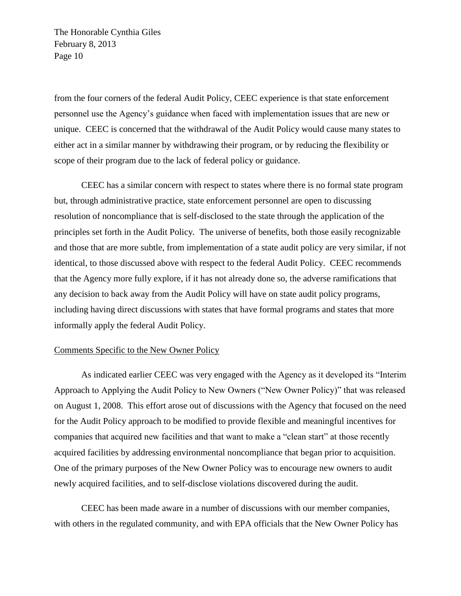from the four corners of the federal Audit Policy, CEEC experience is that state enforcement personnel use the Agency's guidance when faced with implementation issues that are new or unique. CEEC is concerned that the withdrawal of the Audit Policy would cause many states to either act in a similar manner by withdrawing their program, or by reducing the flexibility or scope of their program due to the lack of federal policy or guidance.

CEEC has a similar concern with respect to states where there is no formal state program but, through administrative practice, state enforcement personnel are open to discussing resolution of noncompliance that is self-disclosed to the state through the application of the principles set forth in the Audit Policy. The universe of benefits, both those easily recognizable and those that are more subtle, from implementation of a state audit policy are very similar, if not identical, to those discussed above with respect to the federal Audit Policy. CEEC recommends that the Agency more fully explore, if it has not already done so, the adverse ramifications that any decision to back away from the Audit Policy will have on state audit policy programs, including having direct discussions with states that have formal programs and states that more informally apply the federal Audit Policy.

# Comments Specific to the New Owner Policy

As indicated earlier CEEC was very engaged with the Agency as it developed its "Interim" Approach to Applying the Audit Policy to New Owners ("New Owner Policy)" that was released on August 1, 2008. This effort arose out of discussions with the Agency that focused on the need for the Audit Policy approach to be modified to provide flexible and meaningful incentives for companies that acquired new facilities and that want to make a "clean start" at those recently acquired facilities by addressing environmental noncompliance that began prior to acquisition. One of the primary purposes of the New Owner Policy was to encourage new owners to audit newly acquired facilities, and to self-disclose violations discovered during the audit.

CEEC has been made aware in a number of discussions with our member companies, with others in the regulated community, and with EPA officials that the New Owner Policy has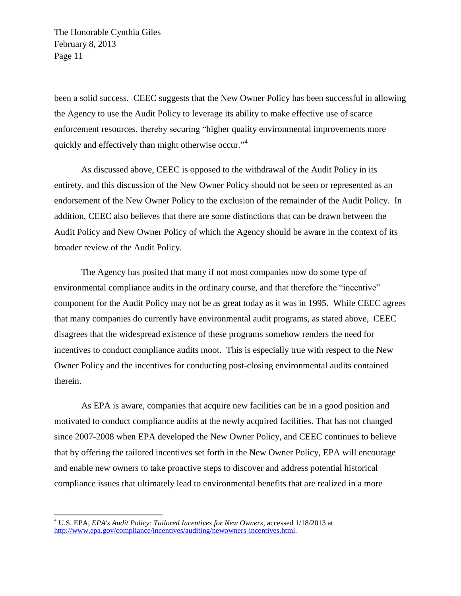been a solid success. CEEC suggests that the New Owner Policy has been successful in allowing the Agency to use the Audit Policy to leverage its ability to make effective use of scarce enforcement resources, thereby securing "higher quality environmental improvements more quickly and effectively than might otherwise occur."<sup>4</sup>

As discussed above, CEEC is opposed to the withdrawal of the Audit Policy in its entirety, and this discussion of the New Owner Policy should not be seen or represented as an endorsement of the New Owner Policy to the exclusion of the remainder of the Audit Policy. In addition, CEEC also believes that there are some distinctions that can be drawn between the Audit Policy and New Owner Policy of which the Agency should be aware in the context of its broader review of the Audit Policy.

The Agency has posited that many if not most companies now do some type of environmental compliance audits in the ordinary course, and that therefore the "incentive" component for the Audit Policy may not be as great today as it was in 1995. While CEEC agrees that many companies do currently have environmental audit programs, as stated above, CEEC disagrees that the widespread existence of these programs somehow renders the need for incentives to conduct compliance audits moot. This is especially true with respect to the New Owner Policy and the incentives for conducting post-closing environmental audits contained therein.

As EPA is aware, companies that acquire new facilities can be in a good position and motivated to conduct compliance audits at the newly acquired facilities. That has not changed since 2007-2008 when EPA developed the New Owner Policy, and CEEC continues to believe that by offering the tailored incentives set forth in the New Owner Policy, EPA will encourage and enable new owners to take proactive steps to discover and address potential historical compliance issues that ultimately lead to environmental benefits that are realized in a more

 $\overline{a}$ 

<sup>4</sup> U.S. EPA, *EPA's Audit Policy: Tailored Incentives for New Owners,* accessed 1/18/2013 at [http://www.epa.gov/compliance/incentives/auditing/newowners-incentives.html.](http://www.epa.gov/compliance/incentives/auditing/newowners-incentives.html)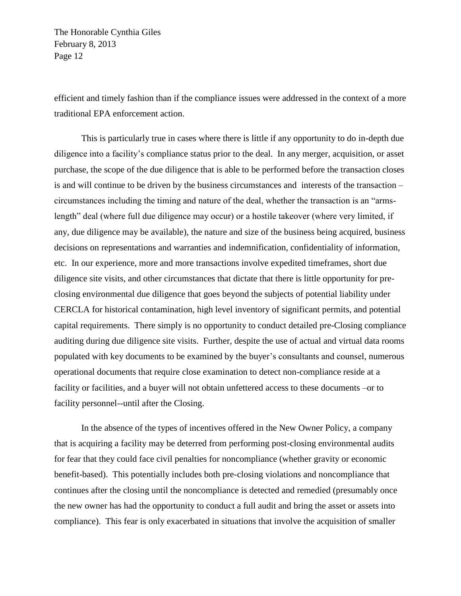efficient and timely fashion than if the compliance issues were addressed in the context of a more traditional EPA enforcement action.

This is particularly true in cases where there is little if any opportunity to do in-depth due diligence into a facility's compliance status prior to the deal. In any merger, acquisition, or asset purchase, the scope of the due diligence that is able to be performed before the transaction closes is and will continue to be driven by the business circumstances and interests of the transaction – circumstances including the timing and nature of the deal, whether the transaction is an "armslength" deal (where full due diligence may occur) or a hostile takeover (where very limited, if any, due diligence may be available), the nature and size of the business being acquired, business decisions on representations and warranties and indemnification, confidentiality of information, etc. In our experience, more and more transactions involve expedited timeframes, short due diligence site visits, and other circumstances that dictate that there is little opportunity for preclosing environmental due diligence that goes beyond the subjects of potential liability under CERCLA for historical contamination, high level inventory of significant permits, and potential capital requirements. There simply is no opportunity to conduct detailed pre-Closing compliance auditing during due diligence site visits. Further, despite the use of actual and virtual data rooms populated with key documents to be examined by the buyer's consultants and counsel, numerous operational documents that require close examination to detect non-compliance reside at a facility or facilities, and a buyer will not obtain unfettered access to these documents –or to facility personnel--until after the Closing.

In the absence of the types of incentives offered in the New Owner Policy, a company that is acquiring a facility may be deterred from performing post-closing environmental audits for fear that they could face civil penalties for noncompliance (whether gravity or economic benefit-based). This potentially includes both pre-closing violations and noncompliance that continues after the closing until the noncompliance is detected and remedied (presumably once the new owner has had the opportunity to conduct a full audit and bring the asset or assets into compliance). This fear is only exacerbated in situations that involve the acquisition of smaller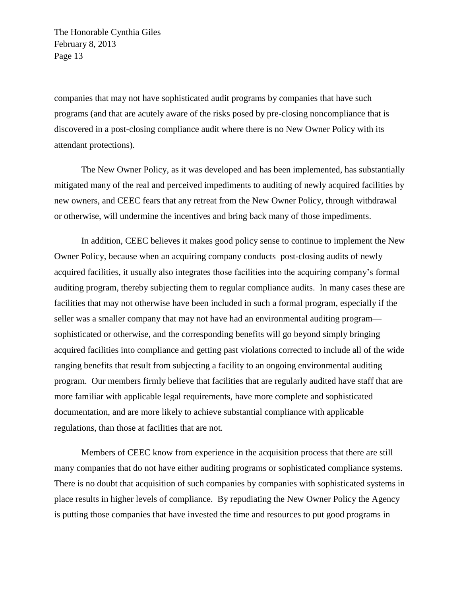companies that may not have sophisticated audit programs by companies that have such programs (and that are acutely aware of the risks posed by pre-closing noncompliance that is discovered in a post-closing compliance audit where there is no New Owner Policy with its attendant protections).

The New Owner Policy, as it was developed and has been implemented, has substantially mitigated many of the real and perceived impediments to auditing of newly acquired facilities by new owners, and CEEC fears that any retreat from the New Owner Policy, through withdrawal or otherwise, will undermine the incentives and bring back many of those impediments.

In addition, CEEC believes it makes good policy sense to continue to implement the New Owner Policy, because when an acquiring company conducts post-closing audits of newly acquired facilities, it usually also integrates those facilities into the acquiring company's formal auditing program, thereby subjecting them to regular compliance audits. In many cases these are facilities that may not otherwise have been included in such a formal program, especially if the seller was a smaller company that may not have had an environmental auditing program sophisticated or otherwise, and the corresponding benefits will go beyond simply bringing acquired facilities into compliance and getting past violations corrected to include all of the wide ranging benefits that result from subjecting a facility to an ongoing environmental auditing program. Our members firmly believe that facilities that are regularly audited have staff that are more familiar with applicable legal requirements, have more complete and sophisticated documentation, and are more likely to achieve substantial compliance with applicable regulations, than those at facilities that are not.

Members of CEEC know from experience in the acquisition process that there are still many companies that do not have either auditing programs or sophisticated compliance systems. There is no doubt that acquisition of such companies by companies with sophisticated systems in place results in higher levels of compliance. By repudiating the New Owner Policy the Agency is putting those companies that have invested the time and resources to put good programs in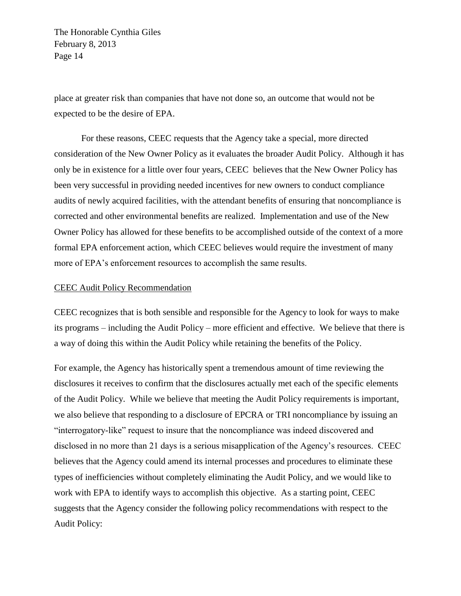place at greater risk than companies that have not done so, an outcome that would not be expected to be the desire of EPA.

For these reasons, CEEC requests that the Agency take a special, more directed consideration of the New Owner Policy as it evaluates the broader Audit Policy. Although it has only be in existence for a little over four years, CEEC believes that the New Owner Policy has been very successful in providing needed incentives for new owners to conduct compliance audits of newly acquired facilities, with the attendant benefits of ensuring that noncompliance is corrected and other environmental benefits are realized. Implementation and use of the New Owner Policy has allowed for these benefits to be accomplished outside of the context of a more formal EPA enforcement action, which CEEC believes would require the investment of many more of EPA's enforcement resources to accomplish the same results.

# CEEC Audit Policy Recommendation

CEEC recognizes that is both sensible and responsible for the Agency to look for ways to make its programs – including the Audit Policy – more efficient and effective. We believe that there is a way of doing this within the Audit Policy while retaining the benefits of the Policy.

For example, the Agency has historically spent a tremendous amount of time reviewing the disclosures it receives to confirm that the disclosures actually met each of the specific elements of the Audit Policy. While we believe that meeting the Audit Policy requirements is important, we also believe that responding to a disclosure of EPCRA or TRI noncompliance by issuing an "interrogatory-like" request to insure that the noncompliance was indeed discovered and disclosed in no more than 21 days is a serious misapplication of the Agency's resources. CEEC believes that the Agency could amend its internal processes and procedures to eliminate these types of inefficiencies without completely eliminating the Audit Policy, and we would like to work with EPA to identify ways to accomplish this objective. As a starting point, CEEC suggests that the Agency consider the following policy recommendations with respect to the Audit Policy: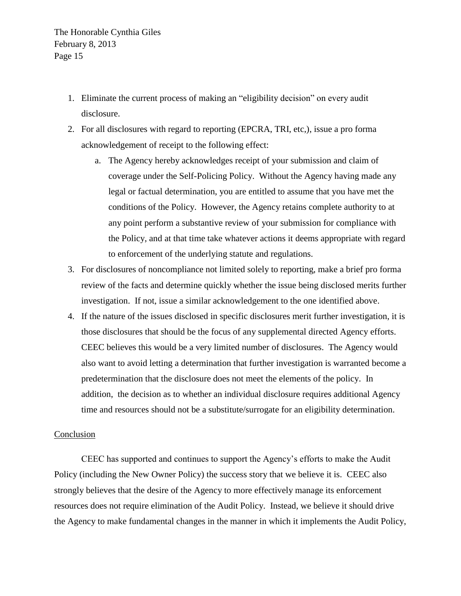- 1. Eliminate the current process of making an "eligibility decision" on every audit disclosure.
- 2. For all disclosures with regard to reporting (EPCRA, TRI, etc,), issue a pro forma acknowledgement of receipt to the following effect:
	- a. The Agency hereby acknowledges receipt of your submission and claim of coverage under the Self-Policing Policy. Without the Agency having made any legal or factual determination, you are entitled to assume that you have met the conditions of the Policy. However, the Agency retains complete authority to at any point perform a substantive review of your submission for compliance with the Policy, and at that time take whatever actions it deems appropriate with regard to enforcement of the underlying statute and regulations.
- 3. For disclosures of noncompliance not limited solely to reporting, make a brief pro forma review of the facts and determine quickly whether the issue being disclosed merits further investigation. If not, issue a similar acknowledgement to the one identified above.
- 4. If the nature of the issues disclosed in specific disclosures merit further investigation, it is those disclosures that should be the focus of any supplemental directed Agency efforts. CEEC believes this would be a very limited number of disclosures. The Agency would also want to avoid letting a determination that further investigation is warranted become a predetermination that the disclosure does not meet the elements of the policy. In addition, the decision as to whether an individual disclosure requires additional Agency time and resources should not be a substitute/surrogate for an eligibility determination.

# **Conclusion**

CEEC has supported and continues to support the Agency's efforts to make the Audit Policy (including the New Owner Policy) the success story that we believe it is. CEEC also strongly believes that the desire of the Agency to more effectively manage its enforcement resources does not require elimination of the Audit Policy. Instead, we believe it should drive the Agency to make fundamental changes in the manner in which it implements the Audit Policy,